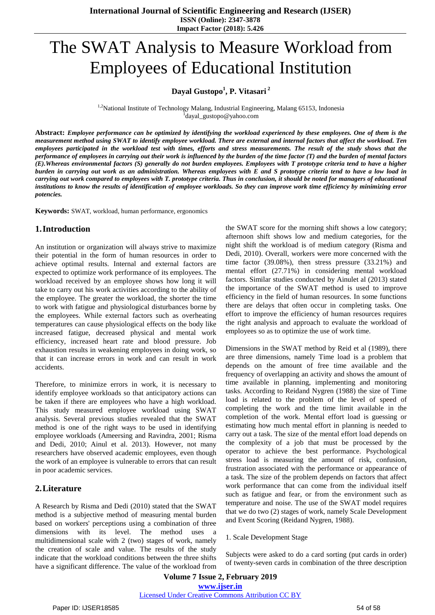#### **Impact Factor (2018): 5.426**

# The SWAT Analysis to Measure Workload from Employees of Educational Institution

# **Dayal Gustopo<sup>1</sup> , P. Vitasari <sup>2</sup>**

<sup>1,2</sup>National Institute of Technology Malang, Industrial Engineering, Malang 65153, Indonesia 1 dayal\_gustopo@yahoo.com

Abstract: Employee performance can be optimized by identifying the workload experienced by these employees. One of them is the measurement method using SWAT to identify employee workload. There are external and internal factors that affect the workload. Ten employees participated in the workload test with times, efforts and stress measurements. The result of the study shows that the performance of employees in carrying out their work is influenced by the burden of the time factor (T) and the burden of mental factors (E). Whereas environmental factors (S) generally do not burden employees. Employees with T prototype criteria tend to have a higher burden in carrying out work as an administration. Whereas employees with E and S prototype criteria tend to have a low load in carrying out work compared to employees with T. prototype criteria. Thus in conclusion, it should be noted for managers of educational institutions to know the results of identification of employee workloads. So they can improve work time efficiency by minimizing error *potencies.*

**Keywords:** SWAT, workload, human performance, ergonomics

## **1.Introduction**

An institution or organization will always strive to maximize their potential in the form of human resources in order to achieve optimal results. Internal and external factors are expected to optimize work performance of its employees. The workload received by an employee shows how long it will take to carry out his work activities according to the ability of the employee. The greater the workload, the shorter the time to work with fatigue and physiological disturbances borne by the employees. While external factors such as overheating temperatures can cause physiological effects on the body like increased fatigue, decreased physical and mental work efficiency, increased heart rate and blood pressure. Job exhaustion results in weakening employees in doing work, so that it can increase errors in work and can result in work accidents.

Therefore, to minimize errors in work, it is necessary to identify employee workloads so that anticipatory actions can be taken if there are employees who have a high workload. This study measured employee workload using SWAT analysis. Several previous studies revealed that the SWAT method is one of the right ways to be used in identifying employee workloads (Ameersing and Ravindra, 2001; Risma and Dedi, 2010; Ainul et al. 2013). However, not many researchers have observed academic employees, even though the work of an employee is vulnerable to errors that can result in poor academic services.

## **2.Literature**

A Research by Risma and Dedi (2010) stated that the SWAT method is a subjective method of measuring mental burden based on workers' perceptions using a combination of three dimensions with its level. The method uses multidimensional scale with 2 (two) stages of work, namely the creation of scale and value. The results of the study indicate that the workload conditions between the three shifts have a significant difference. The value of the workload from

the SWAT score for the morning shift shows a low category; afternoon shift shows low and medium categories, for the night shift the workload is of medium category (Risma and Dedi, 2010). Overall, workers were more concerned with the time factor (39.08%), then stress pressure (33.21%) and mental effort (27.71%) in considering mental workload factors. Similar studies conducted by Ainulet al (2013) stated the importance of the SWAT method is used to improve efficiency in the field of human resources. In some functions there are delays that often occur in completing tasks. One effort to improve the efficiency of human resources requires the right analysis and approach to evaluate the workload of employees so as to optimize the use of work time.

Dimensions in the SWAT method by Reid et al (1989), there are three dimensions, namely Time load is a problem that depends on the amount of free time available and the frequency of overlapping an activity and shows the amount of time available in planning, implementing and monitoring tasks. According to Reidand Nygren (1988) the size of Time load is related to the problem of the level of speed of completing the work and the time limit available in the completion of the work. Mental effort load is guessing or estimating how much mental effort in planning is needed to carry out a task. The size of the mental effort load depends on the complexity of a job that must be processed by the operator to achieve the best performance. Psychological stress load is measuring the amount of risk, confusion, frustration associated with the performance or appearance of a task. The size of the problem depends on factors that affect work performance that can come from the individual itself such as fatigue and fear, or from the environment such as temperature and noise. The use of the SWAT model requires that we do two (2) stages of work, namely Scale Development and Event Scoring (Reidand Nygren, 1988).

#### 1. Scale Development Stage

Subjects were asked to do a card sorting (put cards in order) of twenty-seven cards in combination of the three description

**Volume 7 Issue 2, February 2019 www.ijser.in** Licensed Under Creative Commons Attribution CC BY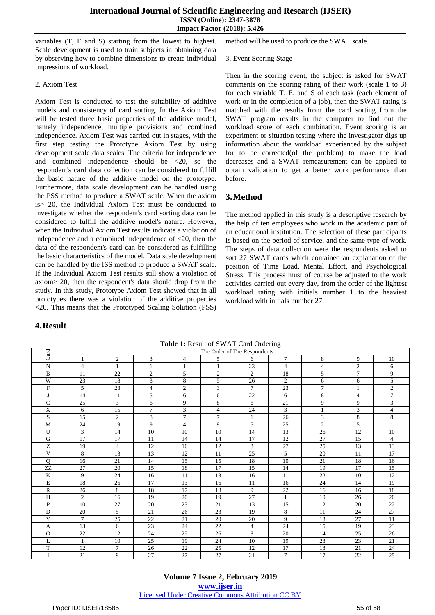#### **International Journal of Scientific Engineering and Research (IJSER) ISSN (Online): 2347-3878 Impact Factor (2018): 5.426**

variables (T, E and S) starting from the lowest to highest. Scale development is used to train subjects in obtaining data by observing how to combine dimensions to create individual impressions of workload.

2. Axiom Test

Axiom Test is conducted to test the suitability of additive models and consistency of card sorting. In the Axiom Test will be tested three basic properties of the additive model, namely independence, multiple provisions and combined independence. Axiom Test was carried out in stages, with the first step testing the Prototype Axiom Test by using development scale data scales. The criteria for independence and combined independence should be  $\langle 20, \text{ so the} \rangle$ respondent's card data collection can be considered to fulfill the basic nature of the additive model on the prototype. Furthermore, data scale development can be handled using the PSS method to produce a SWAT scale. When the axiom is> 20, the Individual Axiom Test must be conducted to investigate whether the respondent's card sorting data can be considered to fulfill the additive model's nature. However, when the Individual Axiom Test results indicate a violation of independence and a combined independence of  $\langle 20, \text{ then the} \rangle$ data of the respondent's card can be considered as fulfilling the basic characteristics of the model. Data scale development can be handled by the ISS method to produce a SWAT scale. If the Individual Axiom Test results still show a violation of axiom> 20, then the respondent's data should drop from the study. In this study, Prototype Axiom Test showed that in all prototypes there was a violation of the additive properties <20. This means that the Prototyped Scaling Solution (PSS)

## **4.Result**

Then in the scoring event, the subject is asked for SWAT comments on the scoring rating of their work (scale 1 to 3) for each variable T, E, and S of each task (each element of work or in the completion of a job), then the SWAT rating is matched with the results from the card sorting from the SWAT program results in the computer to find out the workload score of each combination. Event scoring is an experiment or situation testing where the investigator digs up information about the workload experienced by the subject for to be corrected(of the problem) to make the load decreases and a SWAT remeasurement can be applied to obtain validation to get a better work performance than before.

# **3.Method**

The method applied in this study is a descriptive research by the help of ten employees who work in the academic part of an educational institution. The selection of these participants is based on the period of service, and the same type of work. The steps of data collection were the respondents asked to sort 27 SWAT cards which contained an explanation of the position of Time Load, Mental Effort, and Psychological Stress. This process must of course be adjusted to the work activities carried out every day, from the order of the lightest workload rating with initials number 1 to the heaviest workload with initials number 27.

| Card                      |                |                |                |                | The Order of The Respondents |                |                |                |                |                |
|---------------------------|----------------|----------------|----------------|----------------|------------------------------|----------------|----------------|----------------|----------------|----------------|
|                           |                | $\mathfrak{2}$ | 3              | $\overline{4}$ | 5                            | 6              | $\overline{7}$ | 8              | 9              | 10             |
| $\mathbf N$               | $\overline{4}$ | 1              | $\mathbf{1}$   | 1              | 1                            | 23             | $\overline{4}$ | $\overline{4}$ | $\overline{c}$ | 6              |
| B                         | 11             | 22             | $\overline{c}$ | 5              | $\mathfrak{2}$               | 2              | 18             | 5              | $\tau$         | 9              |
| W                         | 23             | 18             | 3              | 8              | 5                            | 26             | $\overline{2}$ | 6              | 6              | 5              |
| $\boldsymbol{\mathrm{F}}$ | 5              | 23             | $\overline{4}$ | $\mathfrak{2}$ | 3                            | $\overline{7}$ | 23             | $\overline{7}$ | 1              | $\overline{c}$ |
| J                         | 14             | 11             | 5              | 6              | 6                            | 22             | 6              | 8              | $\overline{4}$ | $\overline{7}$ |
| $\mathsf{C}$              | 25             | 3              | 6              | 9              | 8                            | 6              | 21             | 9              | 9              | 3              |
| X                         | 6              | 15             | $\overline{7}$ | 3              | $\overline{4}$               | 24             | 3              | $\mathbf{1}$   | 3              | $\overline{4}$ |
| S                         | 15             | $\overline{2}$ | 8              | $\overline{7}$ | $\tau$                       | 1              | 26             | 3              | 8              | 8              |
| M                         | 24             | 19             | 9              | $\overline{4}$ | 9                            | 5              | 25             | $\overline{2}$ | 5              |                |
| U                         | 3              | 14             | 10             | 10             | 10                           | 14             | 13             | 26             | 12             | 10             |
| G                         | 17             | 17             | 11             | 14             | 14                           | 17             | 12             | 27             | 15             | 4              |
| Z                         | 19             | $\overline{4}$ | 12             | 16             | 12                           | 3              | 27             | 25             | 13             | 13             |
| V                         | 8              | 13             | 13             | 12             | 11                           | 25             | 5              | 20             | 11             | 17             |
| $\mathbf{O}$              | 16             | 21             | 14             | 15             | 15                           | 18             | 10             | 21             | 18             | 16             |
| ZZ                        | 27             | 20             | 15             | 18             | 17                           | 15             | 14             | 19             | 17             | 15             |
| $\mathbf K$               | 9              | 24             | 16             | 11             | 13                           | 16             | 11             | 22             | 10             | 12             |
| E                         | 18             | 26             | 17             | 13             | 16                           | 11             | 16             | 24             | 14             | 19             |
| R                         | 26             | 8              | 18             | 17             | 18                           | 9              | 22             | 16             | 16             | 18             |
| H                         | $\overline{c}$ | 16             | 19             | 20             | 19                           | 27             | $\mathbf{1}$   | 10             | 26             | 20             |
| P                         | 10             | 27             | 20             | 23             | 21                           | 13             | 15             | 12             | 20             | 22             |
| D                         | 20             | 5              | 21             | 26             | 23                           | 19             | 8              | 11             | 24             | 27             |
| Y                         | $\overline{7}$ | 25             | 22             | 21             | 20                           | 20             | 9              | 13             | 27             | 11             |
| A                         | 13             | 6              | 23             | 24             | 22                           | $\overline{4}$ | 24             | 15             | 19             | 23             |
| $\Omega$                  | 22             | 12             | 24             | 25             | 26                           | 8              | 20             | 14             | 25             | 26             |
| L                         |                | 10             | 25             | 19             | 24                           | 10             | 19             | 23             | 23             | 21             |
| T                         | 12             | $\overline{7}$ | 26             | 22             | 25                           | 12             | 17             | 18             | 21             | 24             |
| I                         | 21             | 9              | 27             | 27             | 27                           | 21             | $\tau$         | 17             | 22             | 25             |

**Table 1:** Result of SWAT Card Ordering

method will be used to produce the SWAT scale.

3. Event Scoring Stage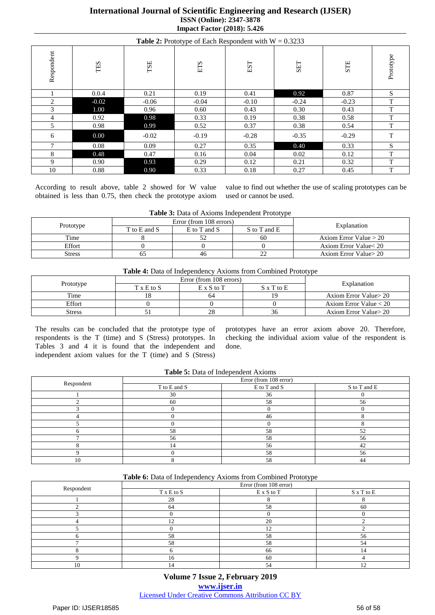## **International Journal of Scientific Engineering and Research (IJSER) ISSN (Online): 2347-3878 Impact Factor (2018): 5.426**

| <b>Table 2:</b> Prototype of Each Respondent with $W = 0.3233$ |                |         |         |         |            |         |           |  |  |  |
|----------------------------------------------------------------|----------------|---------|---------|---------|------------|---------|-----------|--|--|--|
| Respondent                                                     | TES            | TSE     | ETS     | EST     | <b>SET</b> | STE     | Prototype |  |  |  |
|                                                                | 0.0.4          | 0.21    | 0.19    | 0.41    | 0.92       | 0.87    | S         |  |  |  |
| 2                                                              | $-0.02$        | $-0.06$ | $-0.04$ | $-0.10$ | $-0.24$    | $-0.23$ | T         |  |  |  |
| 3                                                              | 1.00           | 0.96    | 0.60    | 0.43    | 0.30       | 0.43    | T         |  |  |  |
| 4                                                              | 0.92           | 0.98    | 0.33    | 0.19    | 0.38       | 0.58    | T         |  |  |  |
| 5                                                              | 0.98           | 0.99    | 0.52    | 0.37    | 0.38       | 0.54    | T         |  |  |  |
| 6                                                              | 0.00           | $-0.02$ | $-0.19$ | $-0.28$ | $-0.35$    | $-0.29$ | T         |  |  |  |
| $\mathcal{I}$                                                  | 0.08           | 0.09    | 0.27    | 0.35    | 0.40       | 0.33    | S         |  |  |  |
| 8                                                              | 0.48           | 0.47    | 0.16    | 0.04    | 0.02       | 0.12    | T         |  |  |  |
| 9                                                              | $0.90^{\circ}$ | 0.93    | 0.29    | 0.12    | 0.21       | 0.32    | T         |  |  |  |
| 10                                                             | 0.88           | 0.90    | 0.33    | 0.18    | 0.27       | 0.45    | T         |  |  |  |

According to result above, table 2 showed for W value obtained is less than 0.75, then check the prototype axiom

value to find out whether the use of scaling prototypes can be used or cannot be used.

| Table 3: Data of Axioms Independent Prototype |  |
|-----------------------------------------------|--|
|-----------------------------------------------|--|

|           |                                              | Error (from 108 errors) | Explanation |                         |  |
|-----------|----------------------------------------------|-------------------------|-------------|-------------------------|--|
| Prototype | S to T and E<br>T to E and S<br>E to T and S |                         |             |                         |  |
| Time      |                                              | ے ب                     | 60          | Axiom Error Value $>20$ |  |
| Effort    |                                              |                         |             | Axiom Error Value < 20  |  |
| Stress    |                                              | 40                      |             | Axiom Error Value > 20  |  |

| Table 4: Data of Independency Axioms from Combined Prototype |
|--------------------------------------------------------------|
|--------------------------------------------------------------|

|               |                     | Error (from 108 errors) | Explanation       |                          |  |  |
|---------------|---------------------|-------------------------|-------------------|--------------------------|--|--|
| Prototype     | $T \times E$ to $S$ | $E \times S$ to T       | $S \times T$ to E |                          |  |  |
| Time          |                     | 64                      |                   | Axiom Error Value > 20   |  |  |
| Effort        |                     |                         |                   | Axiom Error Value $< 20$ |  |  |
| <b>Stress</b> |                     |                         | 30                | Axiom Error Value > 20   |  |  |

The results can be concluded that the prototype type of respondents is the T (time) and S (Stress) prototypes. In Tables 3 and 4 it is found that the independent and independent axiom values for the T (time) and S (Stress)

prototypes have an error axiom above 20. Therefore, checking the individual axiom value of the respondent is done.

| <b>rapic 9:</b> Data of macpenaem <i>residues</i> |                        |              |              |  |  |  |  |  |  |  |
|---------------------------------------------------|------------------------|--------------|--------------|--|--|--|--|--|--|--|
|                                                   | Error (from 108 error) |              |              |  |  |  |  |  |  |  |
| Respondent                                        | T to E and S           | E to T and S | S to T and E |  |  |  |  |  |  |  |
|                                                   | 30                     | 36           |              |  |  |  |  |  |  |  |
|                                                   | 60                     | 58           | 56           |  |  |  |  |  |  |  |
|                                                   |                        |              |              |  |  |  |  |  |  |  |
|                                                   |                        | 46           |              |  |  |  |  |  |  |  |
|                                                   |                        |              |              |  |  |  |  |  |  |  |
|                                                   | 58                     | 58           | 52           |  |  |  |  |  |  |  |
|                                                   | 56                     | 58           | 56           |  |  |  |  |  |  |  |
|                                                   |                        | 56           | 42           |  |  |  |  |  |  |  |
|                                                   |                        | 58           | 56           |  |  |  |  |  |  |  |
|                                                   |                        | 58           | 44           |  |  |  |  |  |  |  |

| Table 6: Data of Independency Axioms from Combined Prototype |
|--------------------------------------------------------------|
|--------------------------------------------------------------|

|            | Error (from 108 error) |            |                      |  |  |  |  |  |
|------------|------------------------|------------|----------------------|--|--|--|--|--|
| Respondent | T x E to S             | E x S to T | $\mathbf S$ x T to E |  |  |  |  |  |
|            | 28                     |            |                      |  |  |  |  |  |
|            | 64                     | 58         | 60                   |  |  |  |  |  |
|            |                        |            |                      |  |  |  |  |  |
|            |                        | 20         |                      |  |  |  |  |  |
|            |                        |            |                      |  |  |  |  |  |
|            | 58                     | 58         | 56                   |  |  |  |  |  |
|            | 58                     | 58         | 54                   |  |  |  |  |  |
|            |                        | 66         | 4،                   |  |  |  |  |  |
|            | 16                     | 60         |                      |  |  |  |  |  |
|            |                        |            |                      |  |  |  |  |  |

**Volume 7 Issue 2, February 2019 www.ijser.in** Licensed Under Creative Commons Attribution CC BY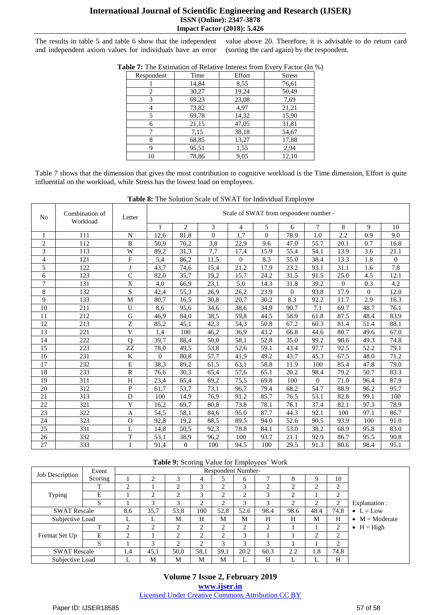## **International Journal of Scientific Engineering and Research (IJSER) ISSN (Online): 2347-3878 Impact Factor (2018): 5.426**

The results in table 5 and table 6 show that the independent and independent axiom values for individuals have an error value above 20. Therefore, it is advisable to do return card (sorting the card again) by the respondent.

| Respondent | Time  | Effort | <b>Stress</b> |
|------------|-------|--------|---------------|
|            | 14,84 | 8,55   | 76,61         |
| 2          | 30,27 | 19,24  | 50,49         |
| 3          | 69,23 | 23,08  | 7,69          |
| 4          | 73,82 | 4,97   | 21,21         |
| 5          | 69,78 | 14,32  | 15,90         |
| 6          | 21,15 | 47,05  | 31,81         |
| 7          | 7,15  | 38,18  | 54,67         |
| 8          | 68,85 | 13,27  | 17,88         |
| 9          | 95,51 | 1,55   | 2,94          |
| 10         | 78,86 | 9,05   | 12,10         |

**Table 7:** The Estimation of Relative Interest from Every Factor (In %)

Table 7 shows that the dimension that gives the most contribution to cognitive workload is the Time dimension, Effort is quite influential on the workload, while Stress has the lowest load on employees.

| N <sub>0</sub>           | Combination of<br>Workload | Letter                    |          | Scale of SWAT from respondent number - |          |                |          |          |                |              |          |                |
|--------------------------|----------------------------|---------------------------|----------|----------------------------------------|----------|----------------|----------|----------|----------------|--------------|----------|----------------|
|                          |                            |                           | 1        | $\overline{c}$                         | 3        | $\overline{4}$ | 5        | 6        | $\overline{7}$ | 8            | 9        | 10             |
| $\mathbf{1}$             | 111                        | $\mathbf N$               | 12.6     | 81,8                                   | $\theta$ | 1,7            | $\theta$ | 78.9     | 1.0            | 2.2          | 0.9      | 9.0            |
| $\mathbf{2}$             | 112                        | $\mathbf B$               | 50,9     | 70,2                                   | 3,8      | 22,9           | 9.6      | 47.0     | 55.7           | 20.1         | 0.7      | 16.8           |
| 3                        | 113                        | W                         | 89,2     | 31,3                                   | 7,7      | 17,4           | 15.9     | 55.4     | 54.1           | 13.9         | 3.6      | 21.1           |
| $\overline{\mathcal{L}}$ | 121                        | F                         | 5,4      | 86,2                                   | 11,5     | $\Omega$       | 8.3      | 55.0     | 38.4           | 13.3         | 1.8      | $\overline{0}$ |
| 5                        | 122                        | J                         | 43,7     | 74,6                                   | 15,4     | 21,2           | 17.9     | 23.2     | 93.1           | 31.1         | 1.6      | 7.8            |
| 6                        | 123                        | $\overline{C}$            | 82,0     | 35,7                                   | 19,2     | 15,7           | 24.2     | 31.5     | 91.5           | 25.0         | 4.5      | 12.1           |
| $\overline{7}$           | 131                        | $\overline{X}$            | 4,0      | 66,9                                   | 23,1     | 5,0            | 14.3     | 31.8     | 39.2           | $\mathbf{0}$ | 0.3      | 4.2            |
| 8                        | 132                        | S                         | 42,4     | 55,3                                   | 26,9     | 26,2           | 23.9     | $\Omega$ | 93.8           | 17.9         | $\Omega$ | 12.0           |
| 9                        | 133                        | M                         | 80,7     | 16,5                                   | 30,8     | 20,7           | 30.2     | 8.3      | 92.2           | 11.7         | 2.9      | 16.3           |
| 10                       | 211                        | $\mathbf U$               | 8,6      | 95,6                                   | 34,6     | 38,6           | 34.9     | 90.7     | 7.1            | 69.7         | 48.7     | 76.1           |
| 11                       | 212                        | $\overline{G}$            | 46,9     | 84,0                                   | 38,5     | 59,8           | 44.5     | 58.9     | 61.8           | 87.5         | 48.4     | 83.9           |
| 12                       | 213                        | $\overline{z}$            | 85,2     | 45,1                                   | 42,3     | 54,3           | 50.8     | 67.2     | 60.3           | 81.4         | 51.4     | 88.1           |
| 13                       | 221                        | $\overline{\mathbf{V}}$   | 1,4      | 100                                    | 46,2     | 36,9           | 43.2     | 66.8     | 44.6           | 80.7         | 49.6     | 67.0           |
| 14                       | 222                        | $\overline{Q}$            | 39,7     | 88,4                                   | 50,0     | 58,1           | 52.8     | 35.0     | 99.2           | 98.6         | 49.3     | 74.8           |
| 15                       | 223                        | ZZ                        | 78,0     | 49,5                                   | 53,8     | 52,6           | 59.1     | 43.4     | 97.7           | 92.5         | 52.2     | 79.1           |
| 16                       | 231                        | $\bf K$                   | $\Omega$ | 80,8                                   | 57,7     | 41,9           | 49.2     | 43.7     | 45.3           | 67.5         | 48.0     | 71.2           |
| 17                       | 232                        | $\overline{E}$            | 38,3     | 89,2                                   | 61,5     | 63,1           | 58.8     | 11.9     | 100            | 85.4         | 47.8     | 79.0           |
| 18                       | 233                        | $\mathbf R$               | 76,6     | 30,3                                   | 65,4     | 57,6           | 65.1     | 20.2     | 98.4           | 79.2         | 50.7     | 83.3           |
| 19                       | 311                        | $\boldsymbol{\mathrm{H}}$ | 23,4     | 65,4                                   | 69,2     | 75,5           | 69.8     | 100      | $\theta$       | 71.0         | 96.4     | 87.9           |
| 20                       | 312                        | ${\bf P}$                 | 61,7     | 53,7                                   | 73,1     | 96,7           | 79.4     | 68.2     | 54.7           | 88.9         | 96.2     | 95.7           |
| 21                       | 313                        | $\mathbf{D}$              | 100      | 14,9                                   | 76,9     | 91.2           | 85.7     | 76.5     | 53.1           | 82.8         | 99.1     | 100            |
| 22                       | 321                        | Y                         | 16,2     | 69,7                                   | 80,8     | 73.8           | 78.1     | 76.1     | 37.4           | 82.1         | 97.3     | 78.9           |
| 23                       | 322                        | A                         | 54,5     | 58,1                                   | 84,6     | 95.0           | 87.7     | 44.3     | 92.1           | 100          | 97.1     | 86.7           |
| 24                       | 323                        | $\mathbf O$               | 92,8     | 19,2                                   | 88,5     | 89.5           | 94.0     | 52.6     | 90.5           | 93.9         | 100      | 91.0           |
| 25                       | 331                        | L                         | 14,8     | 50,5                                   | 92,3     | 78.8           | 84.1     | 53.0     | 38.2           | 68.9         | 95.8     | 83.0           |
| 26                       | 332                        | T                         | 53,1     | 38,9                                   | 96,2     | 100            | 93.7     | 21.1     | 92.9           | 86.7         | 95.5     | 90.8           |
| 27                       | 333                        | I                         | 91,4     | $\overline{0}$                         | 100      | 94.5           | 100      | 29.5     | 91.3           | 80.6         | 98.4     | 95.1           |

**Table 8:** The Solution Scale of SWAT for Individual Employee

#### **Table 9:** Scoring Value for Employees' Work

| Job Description     | Event   | <b>Respondent Number-</b> |      |      |               |      |      |        |           |                |               |                        |
|---------------------|---------|---------------------------|------|------|---------------|------|------|--------|-----------|----------------|---------------|------------------------|
|                     | Scoring |                           | ◠    |      | 4             |      | 6    |        | 8         |                | 10            |                        |
| Typing              |         | ◠                         |      | ◠    | 3             | ◠    | 3    | ◠      | $\bigcap$ | 2              | $\bigcap$     |                        |
|                     | E       |                           | ◠    | ◠    | 3             | ◠    | ↑    | $\sim$ | ◠         |                | $\bigcap$     |                        |
|                     | S       |                           | 3    | 3    | $\bigcap$     | ◠    | 3    | 3      | ◠         | ◠              | C             | Explanation :          |
| <b>SWAT Rescale</b> |         | 8,6                       | 35,7 | 53,8 | 100           | 52,8 | 52.6 | 98.4   | 98.6      | 48.4           | 74.8          | $\bullet$ L = Low      |
| Subjective Load     |         | ⊥                         | ь.   | М    | H             | M    | M    | H      | H         | M              | H             | $\bullet$ M = Moderate |
| Format Set Up       |         | ◠                         | ◠    | ◠    | $\mathcal{L}$ | ◠    | 2    | ി      |           |                | 2             | $\bullet$ H = High     |
|                     | Е       | ◠                         |      | ◠    | $\bigcirc$    | ↑    | 3    |        |           | $\overline{2}$ | $\mathcal{L}$ |                        |
|                     | S       |                           |      | ◠    | $\bigcap$     | 3    | 3    | 3      |           |                | $\bigcap$     |                        |
| <b>SWAT Rescale</b> |         | 1.4                       | 45,1 | 50,0 | 58,1          | 59,1 | 20.2 | 60.3   | 2.2       | 1.8            | 74.8          |                        |
| Subjective Load     |         |                           | М    | М    | M             | М    | L    | H      | .,        | ⊥              | H             |                        |

**Volume 7 Issue 2, February 2019 www.ijser.in** Licensed Under Creative Commons Attribution CC BY